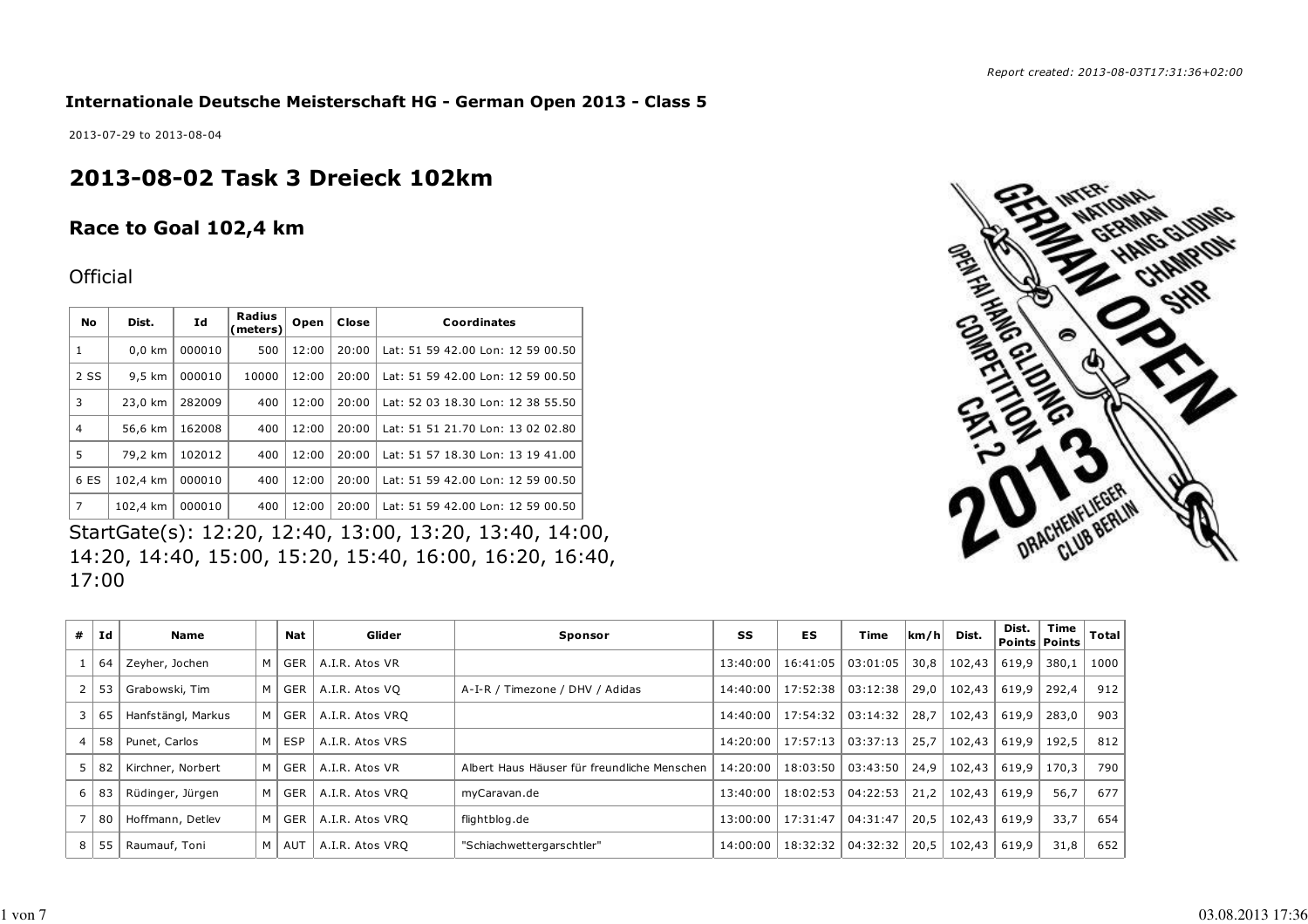**Internationale Deutsche Meisterschaft HG - German Open 2013 - Class 5**

2013-07-29 to 2013-08-04

# **2013-08-02 Task 3 Dreieck 102km**

## **Race to Goal 102,4 km**

### **Official**

| <b>No</b>      | Dist.            | Ιd     | Radius<br>(meters) | Open  | Close | Coordinates                       |
|----------------|------------------|--------|--------------------|-------|-------|-----------------------------------|
| 1              | $0.0$ km         | 000010 | 500                | 12:00 | 20:00 | Lat: 51 59 42.00 Lon: 12 59 00.50 |
| 2 SS           | $9.5 \text{ km}$ | 000010 | 10000              | 12:00 | 20:00 | Lat: 51 59 42.00 Lon: 12 59 00.50 |
| 3              | 23,0 km          | 282009 | 400                | 12:00 | 20:00 | Lat: 52 03 18.30 Lon: 12 38 55.50 |
| $\overline{4}$ | 56,6 km          | 162008 | 400                | 12:00 | 20:00 | Lat: 51 51 21.70 Lon: 13 02 02.80 |
| 5              | 79.2 km          | 102012 | 400                | 12:00 | 20:00 | Lat: 51 57 18.30 Lon: 13 19 41.00 |
| 6 ES           | 102,4 km         | 000010 | 400                | 12:00 | 20:00 | Lat: 51 59 42.00 Lon: 12 59 00.50 |
| 7              | 102,4 km         | 000010 | 400                | 12:00 | 20:00 | Lat: 51 59 42.00 Lon: 12 59 00.50 |

StartGate(s): 12:20, 12:40, 13:00, 13:20, 13:40, 14:00, 14:20, 14:40, 15:00, 15:20, 15:40, 16:00, 16:20, 16:40, 17:00

|                      | ペン<br><b>ANONAL</b>   | 4a.<br><b>ANG GLIDING</b> |
|----------------------|-----------------------|---------------------------|
| OBER LEAD.           |                       | <b>BiOA</b>               |
|                      |                       | 彩                         |
| COMPARENTLY<br>ECSES |                       |                           |
|                      |                       |                           |
|                      |                       |                           |
|                      | <b>DRACHENFLIEGER</b> |                           |
|                      |                       | $\mathscr{C}$             |

| #              | Ιd  | Name               |   | Nat        | Glider          | Sponsor                                     | SS       | ES       | Time     | km/h | Dist.  | Dist. | Time<br>Points   Points | <b>Total</b> |
|----------------|-----|--------------------|---|------------|-----------------|---------------------------------------------|----------|----------|----------|------|--------|-------|-------------------------|--------------|
|                | 64  | Zeyher, Jochen     | M | <b>GER</b> | A.I.R. Atos VR  |                                             | 13:40:00 | 16:41:05 | 03:01:05 | 30,8 | 102,43 | 619,9 | 380,1                   | 1000         |
| $\mathbf{2}$   | 53  | Grabowski, Tim     | M | <b>GER</b> | A.I.R. Atos VQ  | A-I-R / Timezone / DHV / Adidas             | 14:40:00 | 17:52:38 | 03:12:38 | 29,0 | 102,43 | 619.9 | 292,4                   | 912          |
| 3              | 65  | Hanfstängl, Markus | M | <b>GER</b> | A.I.R. Atos VRQ |                                             | 14:40:00 | 17:54:32 | 03:14:32 | 28,7 | 102,43 | 619,9 | 283,0                   | 903          |
| 4              | 58  | Punet, Carlos      | M | <b>ESP</b> | A.I.R. Atos VRS |                                             | 14:20:00 | 17:57:13 | 03:37:13 | 25,7 | 102,43 | 619,9 | 192,5                   | 812          |
| 5              | 82  | Kirchner, Norbert  | M | <b>GER</b> | A.I.R. Atos VR  | Albert Haus Häuser für freundliche Menschen | 14:20:00 | 18:03:50 | 03:43:50 | 24,9 | 102,43 | 619,9 | 170,3                   | 790          |
| 6 <sup>1</sup> | 83  | Rüdinger, Jürgen   | M | <b>GER</b> | A.I.R. Atos VRQ | myCaravan.de                                | 13:40:00 | 18:02:53 | 04:22:53 | 21,2 | 102,43 | 619,9 | 56,7                    | 677          |
|                | -80 | Hoffmann, Detlev   | M | <b>GER</b> | A.I.R. Atos VRO | flightblog.de                               | 13:00:00 | 17:31:47 | 04:31:47 | 20,5 | 102,43 | 619.9 | 33,7                    | 654          |
| 8              | 55  | Raumauf, Toni      | M | AUT        | A.I.R. Atos VRQ | "Schiachwettergarschtler"                   | 14:00:00 | 18:32:32 | 04:32:32 | 20,5 | 102,43 | 619,9 | 31,8                    | 652          |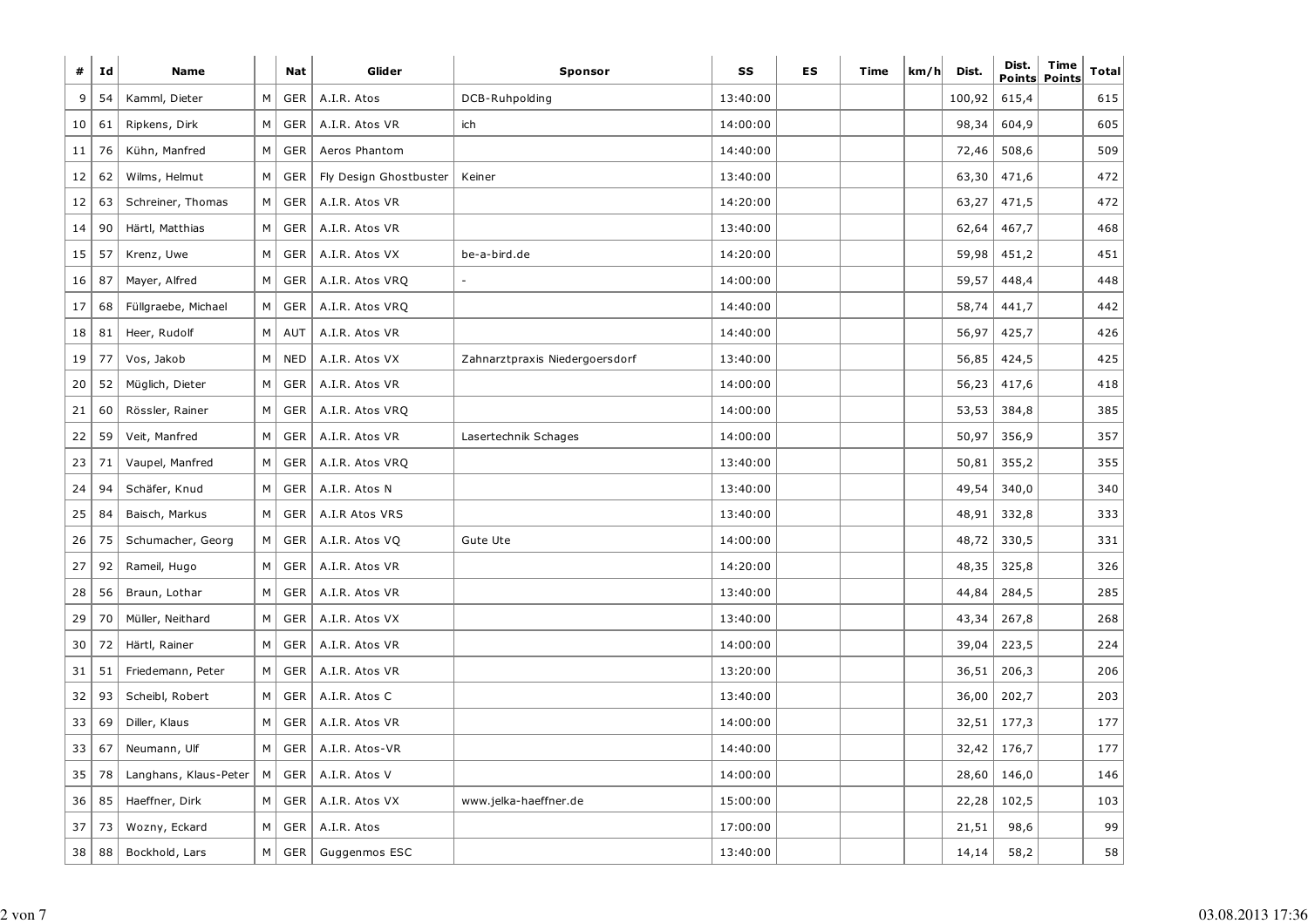| #  | Ιd | <b>Name</b>           |   | <b>Nat</b> | Glider                 | <b>Sponsor</b>                 | SS       | <b>ES</b> | Time | km/h | Dist.  | Dist. | Time<br>Points Points | Total |
|----|----|-----------------------|---|------------|------------------------|--------------------------------|----------|-----------|------|------|--------|-------|-----------------------|-------|
| 9  | 54 | Kamml, Dieter         | M | <b>GER</b> | A.I.R. Atos            | DCB-Ruhpolding                 | 13:40:00 |           |      |      | 100,92 | 615,4 |                       | 615   |
| 10 | 61 | Ripkens, Dirk         | М | <b>GER</b> | A.I.R. Atos VR         | ich                            | 14:00:00 |           |      |      | 98,34  | 604,9 |                       | 605   |
| 11 | 76 | Kühn, Manfred         | M | GER        | Aeros Phantom          |                                | 14:40:00 |           |      |      | 72,46  | 508,6 |                       | 509   |
| 12 | 62 | Wilms, Helmut         | М | <b>GER</b> | Fly Design Ghostbuster | Keiner                         | 13:40:00 |           |      |      | 63,30  | 471,6 |                       | 472   |
| 12 | 63 | Schreiner, Thomas     | М | GER        | A.I.R. Atos VR         |                                | 14:20:00 |           |      |      | 63,27  | 471,5 |                       | 472   |
| 14 | 90 | Härtl, Matthias       | М | <b>GER</b> | A.I.R. Atos VR         |                                | 13:40:00 |           |      |      | 62,64  | 467,7 |                       | 468   |
| 15 | 57 | Krenz, Uwe            | М | GER        | A.I.R. Atos VX         | be-a-bird.de                   | 14:20:00 |           |      |      | 59,98  | 451,2 |                       | 451   |
| 16 | 87 | Mayer, Alfred         | М | <b>GER</b> | A.I.R. Atos VRQ        |                                | 14:00:00 |           |      |      | 59,57  | 448,4 |                       | 448   |
| 17 | 68 | Füllgraebe, Michael   | М | <b>GER</b> | A.I.R. Atos VRQ        |                                | 14:40:00 |           |      |      | 58,74  | 441,7 |                       | 442   |
| 18 | 81 | Heer, Rudolf          | М | <b>AUT</b> | A.I.R. Atos VR         |                                | 14:40:00 |           |      |      | 56,97  | 425,7 |                       | 426   |
| 19 | 77 | Vos, Jakob            | М | <b>NED</b> | A.I.R. Atos VX         | Zahnarztpraxis Niedergoersdorf | 13:40:00 |           |      |      | 56,85  | 424,5 |                       | 425   |
| 20 | 52 | Müglich, Dieter       | М | GER        | A.I.R. Atos VR         |                                | 14:00:00 |           |      |      | 56,23  | 417,6 |                       | 418   |
| 21 | 60 | Rössler, Rainer       | М | <b>GER</b> | A.I.R. Atos VRQ        |                                | 14:00:00 |           |      |      | 53,53  | 384,8 |                       | 385   |
| 22 | 59 | Veit, Manfred         | М | GER        | A.I.R. Atos VR         | Lasertechnik Schages           | 14:00:00 |           |      |      | 50,97  | 356,9 |                       | 357   |
| 23 | 71 | Vaupel, Manfred       | M | GER        | A.I.R. Atos VRQ        |                                | 13:40:00 |           |      |      | 50,81  | 355,2 |                       | 355   |
| 24 | 94 | Schäfer, Knud         | М | <b>GER</b> | A.I.R. Atos N          |                                | 13:40:00 |           |      |      | 49,54  | 340,0 |                       | 340   |
| 25 | 84 | Baisch, Markus        | М | <b>GER</b> | A.I.R Atos VRS         |                                | 13:40:00 |           |      |      | 48,91  | 332,8 |                       | 333   |
| 26 | 75 | Schumacher, Georg     | М | <b>GER</b> | A.I.R. Atos VQ         | Gute Ute                       | 14:00:00 |           |      |      | 48,72  | 330,5 |                       | 331   |
| 27 | 92 | Rameil, Hugo          | М | <b>GER</b> | A.I.R. Atos VR         |                                | 14:20:00 |           |      |      | 48,35  | 325,8 |                       | 326   |
| 28 | 56 | Braun, Lothar         | М | <b>GER</b> | A.I.R. Atos VR         |                                | 13:40:00 |           |      |      | 44,84  | 284,5 |                       | 285   |
| 29 | 70 | Müller, Neithard      | М | <b>GER</b> | A.I.R. Atos VX         |                                | 13:40:00 |           |      |      | 43,34  | 267,8 |                       | 268   |
| 30 | 72 | Härtl, Rainer         | М | <b>GER</b> | A.I.R. Atos VR         |                                | 14:00:00 |           |      |      | 39,04  | 223,5 |                       | 224   |
| 31 | 51 | Friedemann, Peter     | М | <b>GER</b> | A.I.R. Atos VR         |                                | 13:20:00 |           |      |      | 36,51  | 206,3 |                       | 206   |
| 32 | 93 | Scheibl, Robert       | М | <b>GER</b> | A.I.R. Atos C          |                                | 13:40:00 |           |      |      | 36,00  | 202,7 |                       | 203   |
| 33 | 69 | Diller, Klaus         | М | <b>GER</b> | A.I.R. Atos VR         |                                | 14:00:00 |           |      |      | 32,51  | 177,3 |                       | 177   |
| 33 | 67 | Neumann, Ulf          | М | <b>GER</b> | A.I.R. Atos-VR         |                                | 14:40:00 |           |      |      | 32,42  | 176,7 |                       | 177   |
| 35 | 78 | Langhans, Klaus-Peter | M | GER        | A.I.R. Atos V          |                                | 14:00:00 |           |      |      | 28,60  | 146,0 |                       | 146   |
| 36 | 85 | Haeffner, Dirk        | М | GER        | A.I.R. Atos VX         | www.jelka-haeffner.de          | 15:00:00 |           |      |      | 22,28  | 102,5 |                       | 103   |
| 37 | 73 | Wozny, Eckard         | М | <b>GER</b> | A.I.R. Atos            |                                | 17:00:00 |           |      |      | 21,51  | 98,6  |                       | 99    |
| 38 | 88 | Bockhold, Lars        | M | <b>GER</b> | Guggenmos ESC          |                                | 13:40:00 |           |      |      | 14,14  | 58,2  |                       | 58    |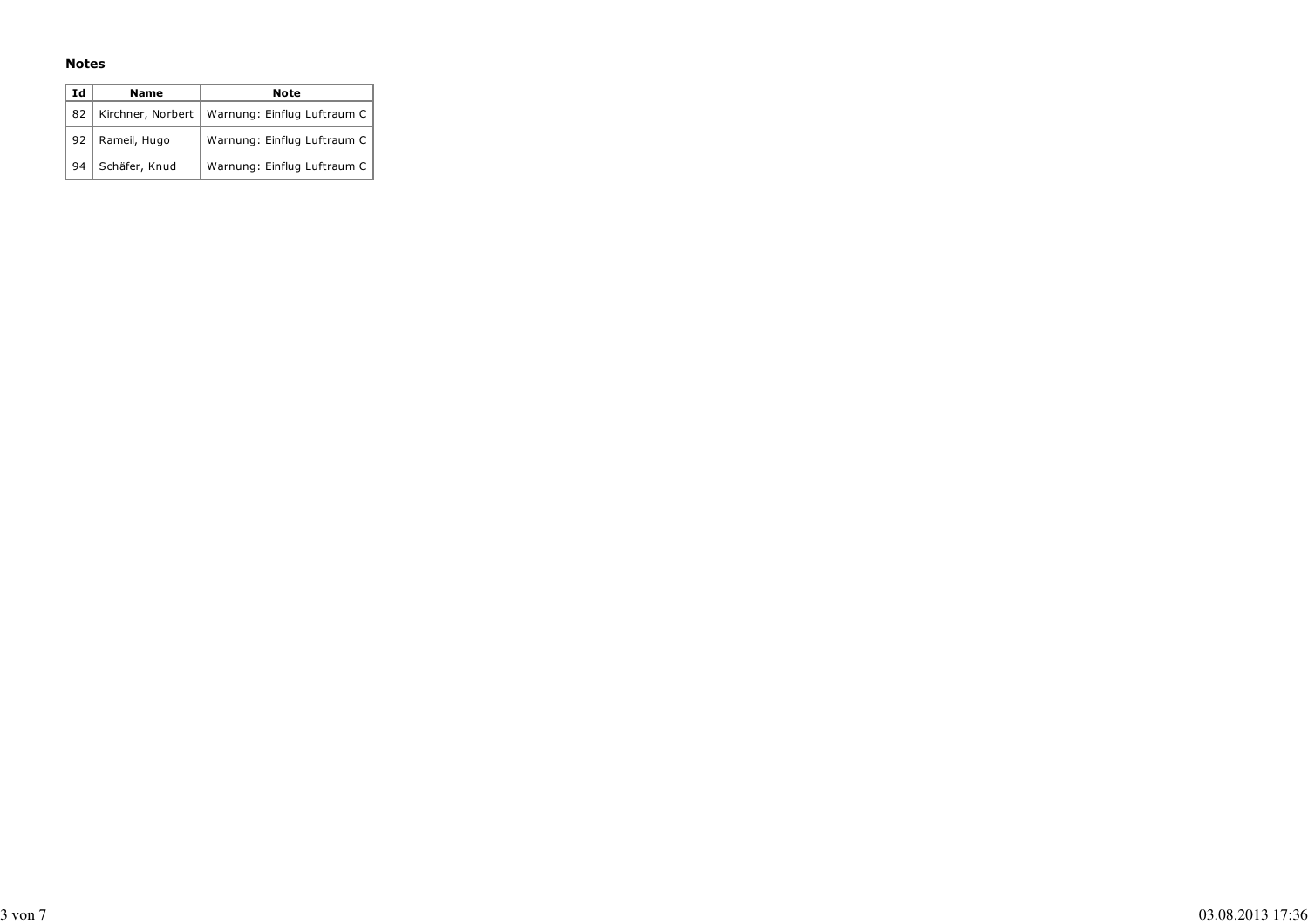#### **Notes**

| Ιd | <b>Name</b>       | Note                        |
|----|-------------------|-----------------------------|
| 82 | Kirchner, Norbert | Warnung: Einflug Luftraum C |
| 92 | Rameil, Hugo      | Warnung: Einflug Luftraum C |
| 94 | Schäfer, Knud     | Warnung: Einflug Luftraum C |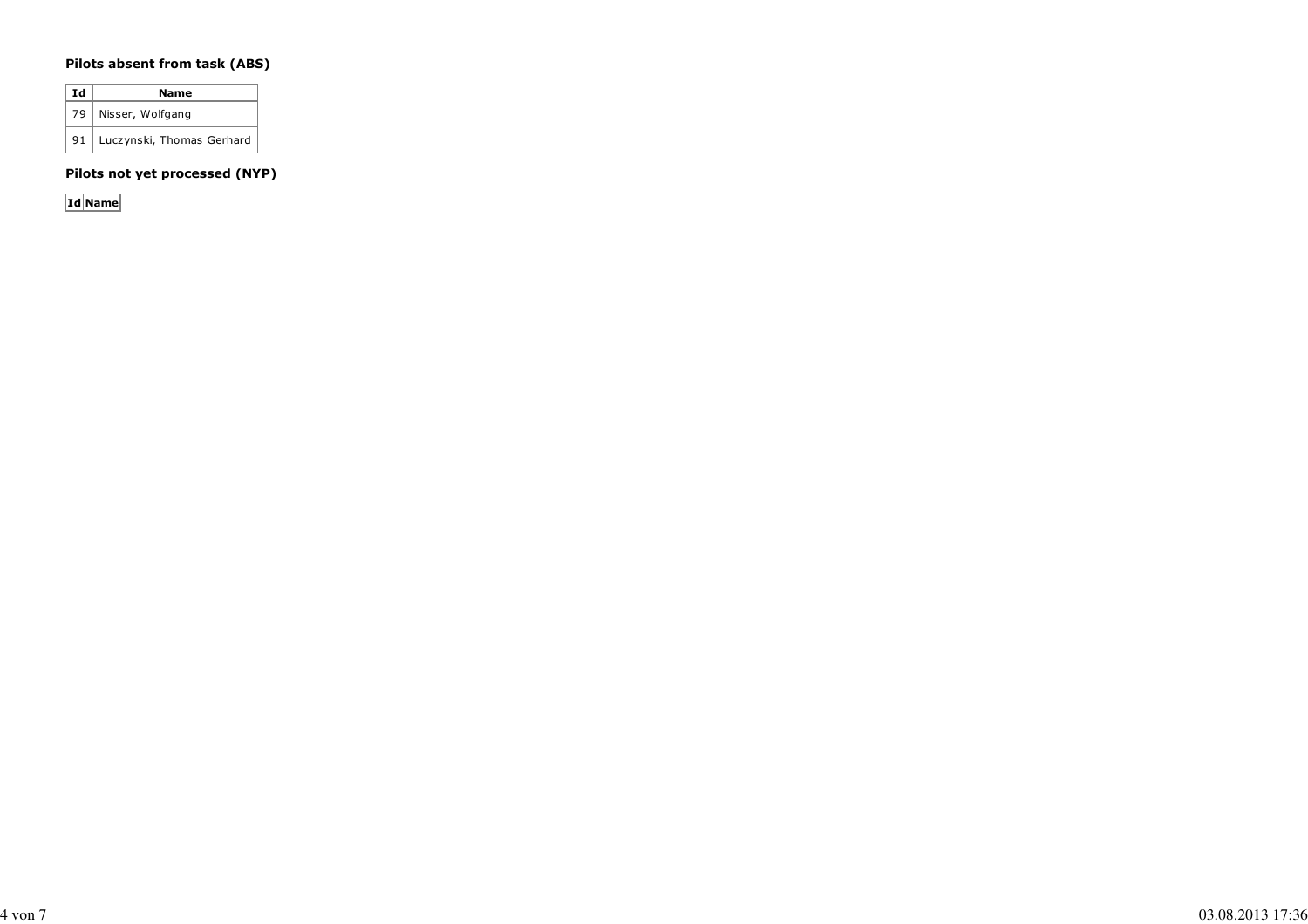#### **Pilots absent from task (ABS)**

| Ιd   | Name                      |
|------|---------------------------|
| 79 I | Nisser, Wolfgang          |
| 91   | Luczynski, Thomas Gerhard |

**Pilots not yet processed (NYP)**

**Id Name**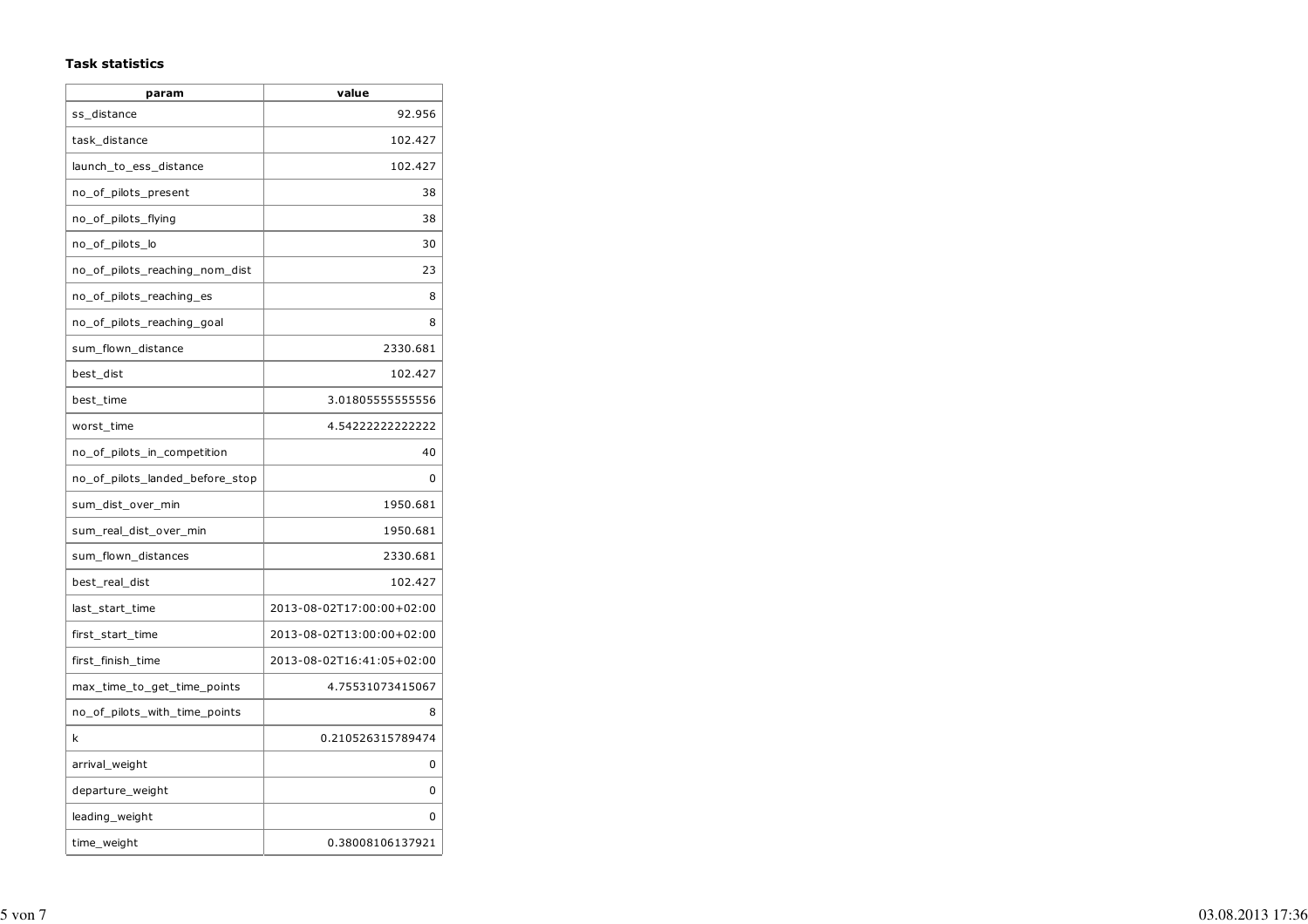#### **Task statistics**

| param                           | value                     |
|---------------------------------|---------------------------|
| ss_distance                     | 92.956                    |
| task_distance                   | 102.427                   |
| launch_to_ess_distance          | 102.427                   |
| no_of_pilots_present            | 38                        |
| no_of_pilots_flying             | 38                        |
| no_of_pilots_lo                 | 30                        |
| no_of_pilots_reaching_nom_dist  | 23                        |
| no of pilots reaching es        | 8                         |
| no_of_pilots_reaching_goal      | 8                         |
| sum flown distance              | 2330.681                  |
| best dist                       | 102.427                   |
| best_time                       | 3.01805555555556          |
| worst_time                      | 4.54222222222222          |
| no_of_pilots_in_competition     | 40                        |
| no_of_pilots_landed_before_stop | 0                         |
| sum_dist_over_min               | 1950.681                  |
| sum_real_dist_over_min          | 1950.681                  |
| sum_flown_distances             | 2330.681                  |
| best_real_dist                  | 102.427                   |
| last_start_time                 | 2013-08-02T17:00:00+02:00 |
| first_start_time                | 2013-08-02T13:00:00+02:00 |
| first_finish_time               | 2013-08-02T16:41:05+02:00 |
| max_time_to_get_time_points     | 4.75531073415067          |
| no_of_pilots_with_time_points   | 8                         |
| k                               | 0.210526315789474         |
| arrival_weight                  | 0                         |
| departure_weight                | 0                         |
| leading_weight                  | 0                         |
| time_weight                     | 0.38008106137921          |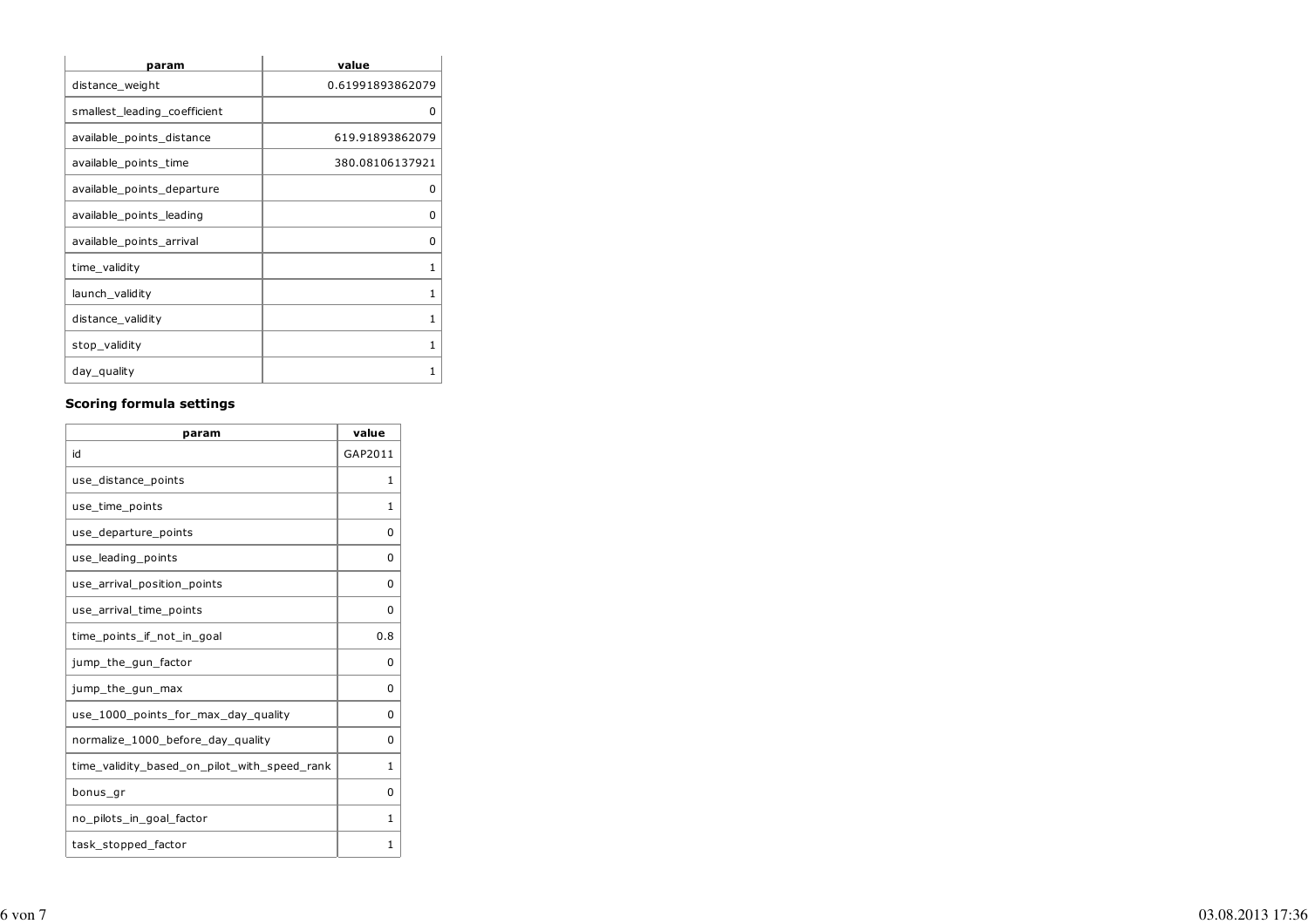| param                        | value            |
|------------------------------|------------------|
| distance_weight              | 0.61991893862079 |
| smallest leading coefficient | 0                |
| available_points_distance    | 619.91893862079  |
| available_points_time        | 380.08106137921  |
| available_points_departure   | 0                |
| available_points_leading     | ŋ                |
| available_points_arrival     | 0                |
| time_validity                | 1                |
| launch_validity              | 1                |
| distance_validity            | 1                |
| stop_validity                | 1                |
| day_quality                  | 1                |

#### **Scoring formula settings**

| param                                        | value    |
|----------------------------------------------|----------|
| id                                           | GAP2011  |
| use_distance_points                          | 1        |
| use_time_points                              | 1        |
| use_departure_points                         | 0        |
| use_leading_points                           | 0        |
| use arrival position points                  | $\Omega$ |
| use_arrival_time_points                      | 0        |
| time_points_if_not_in_goal                   | 0.8      |
| jump_the_gun_factor                          | O        |
| jump_the_gun_max                             | 0        |
| use_1000_points_for_max_day_quality          | $\Omega$ |
| normalize_1000_before_day_quality            | 0        |
| time_validity_based_on_pilot_with_speed_rank | 1        |
| bonus_gr                                     | 0        |
| no_pilots_in_goal_factor                     | 1        |
| task_stopped_factor                          | 1        |